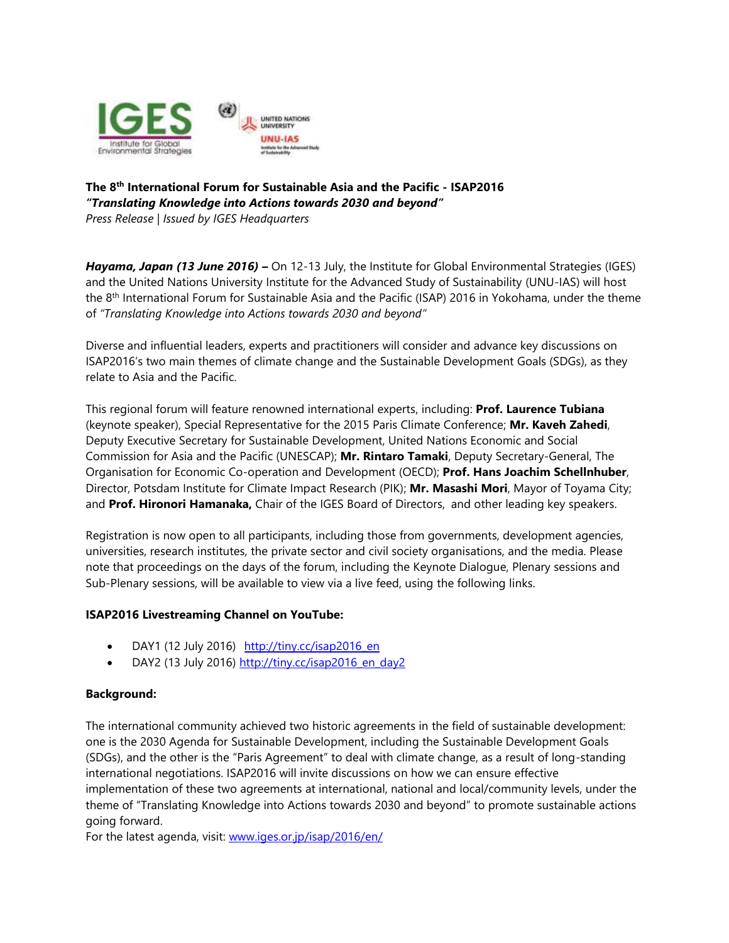

## **The 8th International Forum for Sustainable Asia and the Pacific - ISAP2016** *"Translating Knowledge into Actions towards 2030 and beyond"*

*Press Release | Issued by IGES Headquarters*

*Hayama, Japan (13 June 2016) –* On 12-13 July, the Institute for Global Environmental Strategies (IGES) and the United Nations University Institute for the Advanced Study of Sustainability (UNU-IAS) will host the 8<sup>th</sup> International Forum for Sustainable Asia and the Pacific (ISAP) 2016 in Yokohama, under the theme of *"Translating Knowledge into Actions towards 2030 and beyond"*

Diverse and influential leaders, experts and practitioners will consider and advance key discussions on ISAP2016's two main themes of climate change and the Sustainable Development Goals (SDGs), as they relate to Asia and the Pacific.

This regional forum will feature renowned international experts, including: **Prof. Laurence Tubiana** (keynote speaker), Special Representative for the 2015 Paris Climate Conference; **Mr. Kaveh Zahedi**, Deputy Executive Secretary for Sustainable Development, United Nations Economic and Social Commission for Asia and the Pacific (UNESCAP); **Mr. Rintaro Tamaki**, Deputy Secretary-General, The Organisation for Economic Co-operation and Development (OECD); **Prof. Hans Joachim Schellnhuber**, Director, Potsdam Institute for Climate Impact Research (PIK); **Mr. Masashi Mori**, Mayor of Toyama City; and **Prof. Hironori Hamanaka,** Chair of the IGES Board of Directors, and other leading key speakers.

Registration is now open to all participants, including those from governments, development agencies, universities, research institutes, the private sector and civil society organisations, and the media. Please note that proceedings on the days of the forum, including the Keynote Dialogue, Plenary sessions and Sub-Plenary sessions, will be available to view via a live feed, using the following links.

### **ISAP2016 Livestreaming Channel on YouTube:**

- DAY1 (12 July 2016) [http://tiny.cc/isap2016\\_en](http://tiny.cc/isap2016_en)
- DAY2 (13 July 2016) http://tiny.cc/isap2016 en day2

# **Background:**

The international community achieved two historic agreements in the field of sustainable development: one is the 2030 Agenda for Sustainable Development, including the Sustainable Development Goals (SDGs), and the other is the "Paris Agreement" to deal with climate change, as a result of long-standing international negotiations. ISAP2016 will invite discussions on how we can ensure effective implementation of these two agreements at international, national and local/community levels, under the theme of "Translating Knowledge into Actions towards 2030 and beyond" to promote sustainable actions going forward.

For the latest agenda, visit: [www.iges.or.jp/isap/2016/en/](http://www.iges.or.jp/isap/2016/en/)